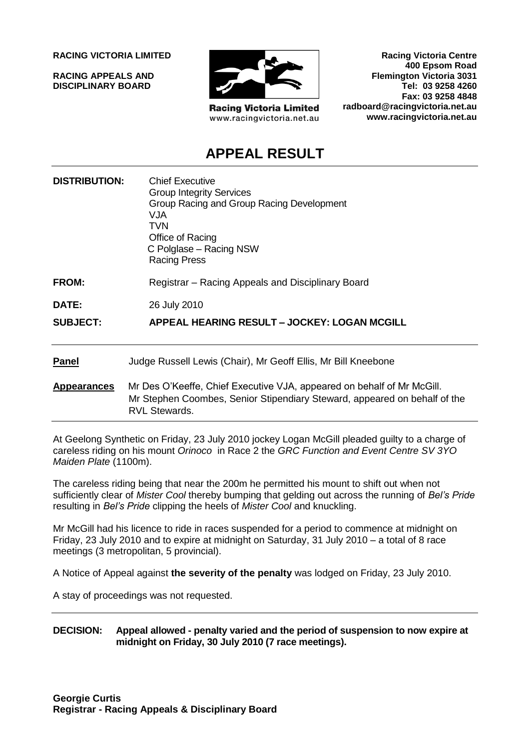**RACING VICTORIA LIMITED**

**RACING APPEALS AND DISCIPLINARY BOARD**



**Racing Victoria Limited** www.racingvictoria.net.au

**Racing Victoria Centre 400 Epsom Road Flemington Victoria 3031 Tel: 03 9258 4260 Fax: 03 9258 4848 radboard@racingvictoria.net.au www.racingvictoria.net.au**

# **APPEAL RESULT**

| <b>DISTRIBUTION:</b> | <b>Chief Executive</b><br><b>Group Integrity Services</b><br>Group Racing and Group Racing Development<br>VJA<br>TVN<br>Office of Racing<br>C Polglase – Racing NSW<br><b>Racing Press</b> |
|----------------------|--------------------------------------------------------------------------------------------------------------------------------------------------------------------------------------------|
| FROM:                | Registrar – Racing Appeals and Disciplinary Board                                                                                                                                          |
| DATE:                | 26 July 2010                                                                                                                                                                               |
| <b>SUBJECT:</b>      | APPEAL HEARING RESULT - JOCKEY: LOGAN MCGILL                                                                                                                                               |
| <b>Panel</b>         | Judge Russell Lewis (Chair), Mr Geoff Ellis, Mr Bill Kneebone                                                                                                                              |
| <b>Appearances</b>   | Mr Des O'Keeffe, Chief Executive VJA, appeared on behalf of Mr McGill.<br>Mr Stephen Coombes, Senior Stipendiary Steward, appeared on behalf of the<br><b>RVL Stewards.</b>                |

At Geelong Synthetic on Friday, 23 July 2010 jockey Logan McGill pleaded guilty to a charge of careless riding on his mount *Orinoco* in Race 2 the *GRC Function and Event Centre SV 3YO Maiden Plate* (1100m).

The careless riding being that near the 200m he permitted his mount to shift out when not sufficiently clear of *Mister Cool* thereby bumping that gelding out across the running of *Bel's Pride* resulting in *Bel's Pride* clipping the heels of *Mister Cool* and knuckling.

Mr McGill had his licence to ride in races suspended for a period to commence at midnight on Friday, 23 July 2010 and to expire at midnight on Saturday, 31 July 2010 – a total of 8 race meetings (3 metropolitan, 5 provincial).

A Notice of Appeal against **the severity of the penalty** was lodged on Friday, 23 July 2010.

A stay of proceedings was not requested.

**DECISION: Appeal allowed - penalty varied and the period of suspension to now expire at midnight on Friday, 30 July 2010 (7 race meetings).**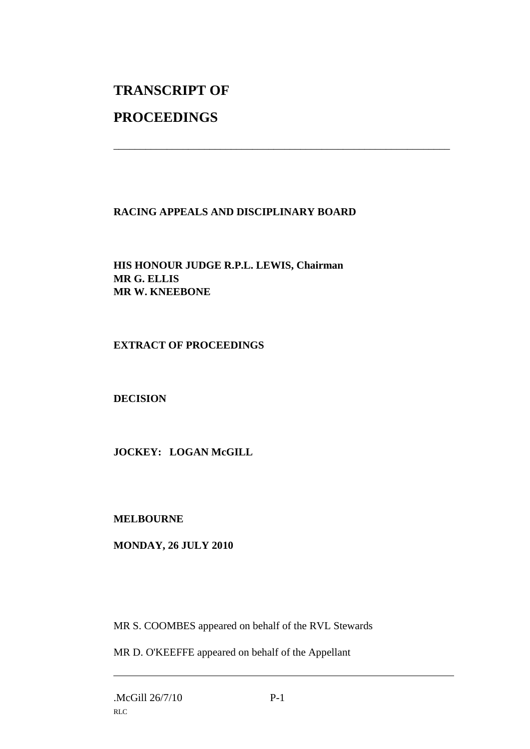# **TRANSCRIPT OF**

# **PROCEEDINGS**

# **RACING APPEALS AND DISCIPLINARY BOARD**

\_\_\_\_\_\_\_\_\_\_\_\_\_\_\_\_\_\_\_\_\_\_\_\_\_\_\_\_\_\_\_\_\_\_\_\_\_\_\_\_\_\_\_\_\_\_\_\_\_\_\_\_\_\_\_\_\_\_\_\_\_\_\_

**HIS HONOUR JUDGE R.P.L. LEWIS, Chairman MR G. ELLIS MR W. KNEEBONE**

## **EXTRACT OF PROCEEDINGS**

## **DECISION**

**JOCKEY: LOGAN McGILL**

## **MELBOURNE**

## **MONDAY, 26 JULY 2010**

MR S. COOMBES appeared on behalf of the RVL Stewards

MR D. O'KEEFFE appeared on behalf of the Appellant